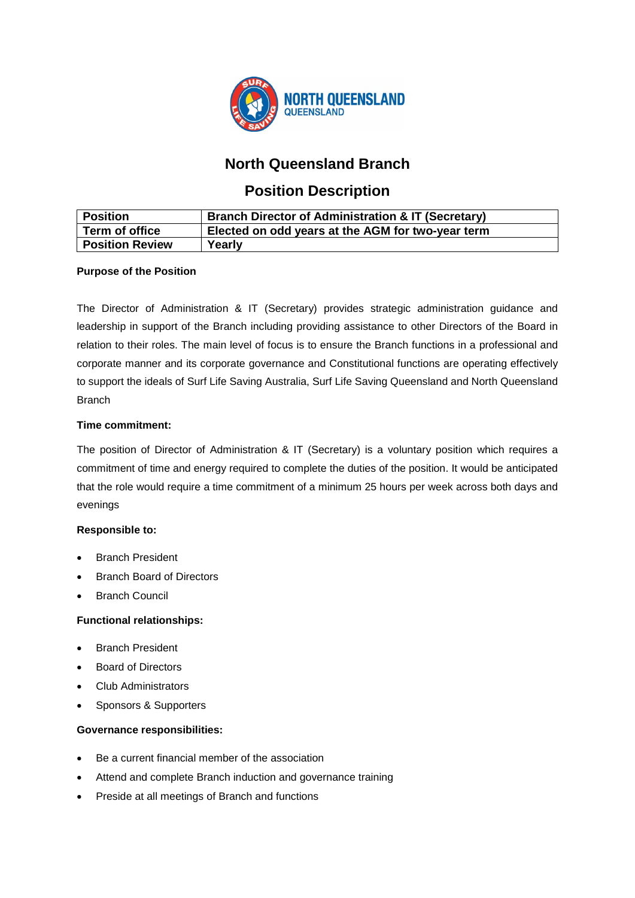

# **North Queensland Branch**

## **Position Description**

| <b>Position</b>        | <b>Branch Director of Administration &amp; IT (Secretary)</b> |
|------------------------|---------------------------------------------------------------|
| Term of office         | Elected on odd years at the AGM for two-year term             |
| <b>Position Review</b> | Yearly                                                        |

### **Purpose of the Position**

The Director of Administration & IT (Secretary) provides strategic administration guidance and leadership in support of the Branch including providing assistance to other Directors of the Board in relation to their roles. The main level of focus is to ensure the Branch functions in a professional and corporate manner and its corporate governance and Constitutional functions are operating effectively to support the ideals of Surf Life Saving Australia, Surf Life Saving Queensland and North Queensland Branch

### **Time commitment:**

The position of Director of Administration & IT (Secretary) is a voluntary position which requires a commitment of time and energy required to complete the duties of the position. It would be anticipated that the role would require a time commitment of a minimum 25 hours per week across both days and evenings

#### **Responsible to:**

- Branch President
- Branch Board of Directors
- **Branch Council**

#### **Functional relationships:**

- Branch President
- Board of Directors
- Club Administrators
- Sponsors & Supporters

#### **Governance responsibilities:**

- Be a current financial member of the association
- Attend and complete Branch induction and governance training
- Preside at all meetings of Branch and functions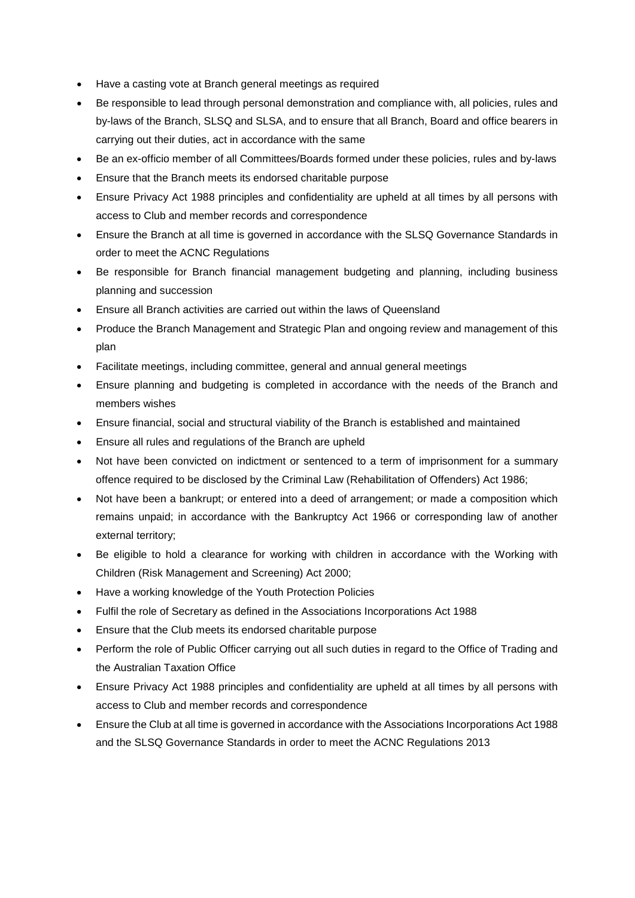- Have a casting vote at Branch general meetings as required
- Be responsible to lead through personal demonstration and compliance with, all policies, rules and by-laws of the Branch, SLSQ and SLSA, and to ensure that all Branch, Board and office bearers in carrying out their duties, act in accordance with the same
- Be an ex-officio member of all Committees/Boards formed under these policies, rules and by-laws
- Ensure that the Branch meets its endorsed charitable purpose
- Ensure Privacy Act 1988 principles and confidentiality are upheld at all times by all persons with access to Club and member records and correspondence
- Ensure the Branch at all time is governed in accordance with the SLSQ Governance Standards in order to meet the ACNC Regulations
- Be responsible for Branch financial management budgeting and planning, including business planning and succession
- Ensure all Branch activities are carried out within the laws of Queensland
- Produce the Branch Management and Strategic Plan and ongoing review and management of this plan
- Facilitate meetings, including committee, general and annual general meetings
- Ensure planning and budgeting is completed in accordance with the needs of the Branch and members wishes
- Ensure financial, social and structural viability of the Branch is established and maintained
- Ensure all rules and regulations of the Branch are upheld
- Not have been convicted on indictment or sentenced to a term of imprisonment for a summary offence required to be disclosed by the Criminal Law (Rehabilitation of Offenders) Act 1986;
- Not have been a bankrupt; or entered into a deed of arrangement; or made a composition which remains unpaid; in accordance with the Bankruptcy Act 1966 or corresponding law of another external territory;
- Be eligible to hold a clearance for working with children in accordance with the Working with Children (Risk Management and Screening) Act 2000;
- Have a working knowledge of the Youth Protection Policies
- Fulfil the role of Secretary as defined in the Associations Incorporations Act 1988
- Ensure that the Club meets its endorsed charitable purpose
- Perform the role of Public Officer carrying out all such duties in regard to the Office of Trading and the Australian Taxation Office
- Ensure Privacy Act 1988 principles and confidentiality are upheld at all times by all persons with access to Club and member records and correspondence
- Ensure the Club at all time is governed in accordance with the Associations Incorporations Act 1988 and the SLSQ Governance Standards in order to meet the ACNC Regulations 2013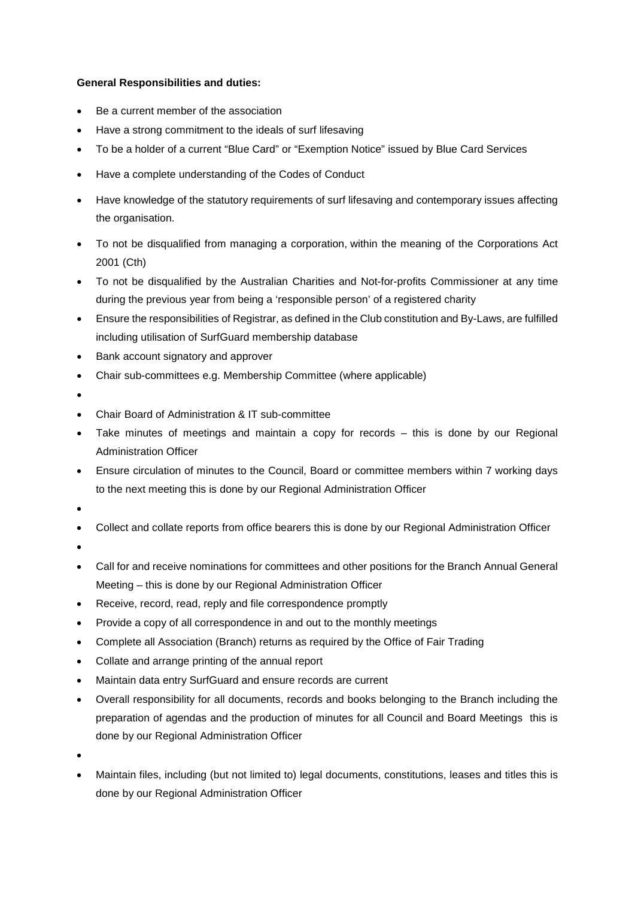#### **General Responsibilities and duties:**

- Be a current member of the association
- Have a strong commitment to the ideals of surf lifesaving
- To be a holder of a current "Blue Card" or "Exemption Notice" issued by Blue Card Services
- Have a complete understanding of the Codes of Conduct
- Have knowledge of the statutory requirements of surf lifesaving and contemporary issues affecting the organisation.
- To not be disqualified from managing a corporation, within the meaning of the Corporations Act 2001 (Cth)
- To not be disqualified by the Australian Charities and Not-for-profits Commissioner at any time during the previous year from being a 'responsible person' of a registered charity
- Ensure the responsibilities of Registrar, as defined in the Club constitution and By-Laws, are fulfilled including utilisation of SurfGuard membership database
- Bank account signatory and approver
- Chair sub-committees e.g. Membership Committee (where applicable)
- •
- Chair Board of Administration & IT sub-committee
- Take minutes of meetings and maintain a copy for records this is done by our Regional Administration Officer
- Ensure circulation of minutes to the Council, Board or committee members within 7 working days to the next meeting this is done by our Regional Administration Officer
- •
- Collect and collate reports from office bearers this is done by our Regional Administration Officer
- •
- Call for and receive nominations for committees and other positions for the Branch Annual General Meeting – this is done by our Regional Administration Officer
- Receive, record, read, reply and file correspondence promptly
- Provide a copy of all correspondence in and out to the monthly meetings
- Complete all Association (Branch) returns as required by the Office of Fair Trading
- Collate and arrange printing of the annual report
- Maintain data entry SurfGuard and ensure records are current
- Overall responsibility for all documents, records and books belonging to the Branch including the preparation of agendas and the production of minutes for all Council and Board Meetings this is done by our Regional Administration Officer

•

• Maintain files, including (but not limited to) legal documents, constitutions, leases and titles this is done by our Regional Administration Officer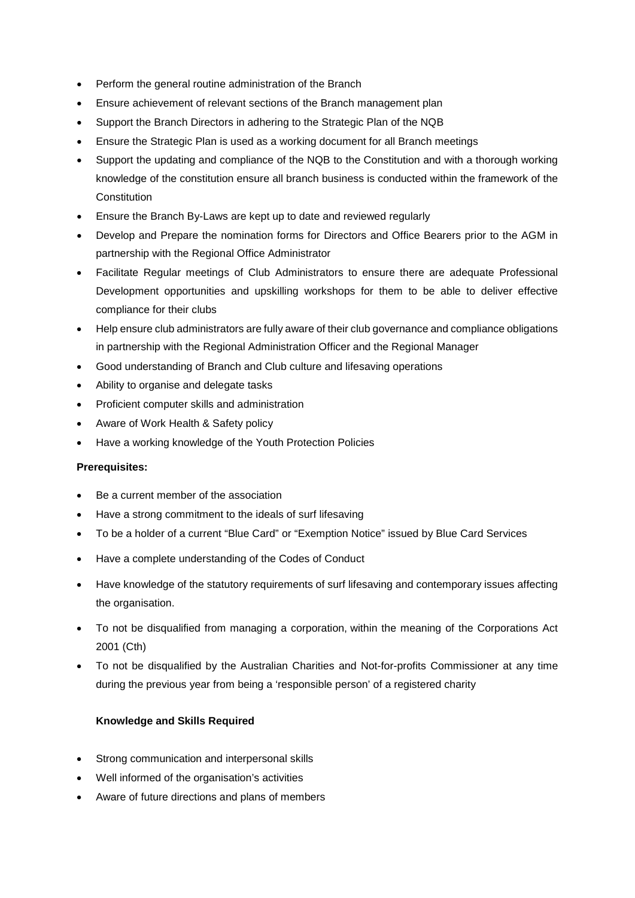- Perform the general routine administration of the Branch
- Ensure achievement of relevant sections of the Branch management plan
- Support the Branch Directors in adhering to the Strategic Plan of the NQB
- Ensure the Strategic Plan is used as a working document for all Branch meetings
- Support the updating and compliance of the NQB to the Constitution and with a thorough working knowledge of the constitution ensure all branch business is conducted within the framework of the **Constitution**
- Ensure the Branch By-Laws are kept up to date and reviewed regularly
- Develop and Prepare the nomination forms for Directors and Office Bearers prior to the AGM in partnership with the Regional Office Administrator
- Facilitate Regular meetings of Club Administrators to ensure there are adequate Professional Development opportunities and upskilling workshops for them to be able to deliver effective compliance for their clubs
- Help ensure club administrators are fully aware of their club governance and compliance obligations in partnership with the Regional Administration Officer and the Regional Manager
- Good understanding of Branch and Club culture and lifesaving operations
- Ability to organise and delegate tasks
- Proficient computer skills and administration
- Aware of Work Health & Safety policy
- Have a working knowledge of the Youth Protection Policies

#### **Prerequisites:**

- Be a current member of the association
- Have a strong commitment to the ideals of surf lifesaving
- To be a holder of a current "Blue Card" or "Exemption Notice" issued by Blue Card Services
- Have a complete understanding of the Codes of Conduct
- Have knowledge of the statutory requirements of surf lifesaving and contemporary issues affecting the organisation.
- To not be disqualified from managing a corporation, within the meaning of the Corporations Act 2001 (Cth)
- To not be disqualified by the Australian Charities and Not-for-profits Commissioner at any time during the previous year from being a 'responsible person' of a registered charity

#### **Knowledge and Skills Required**

- Strong communication and interpersonal skills
- Well informed of the organisation's activities
- Aware of future directions and plans of members